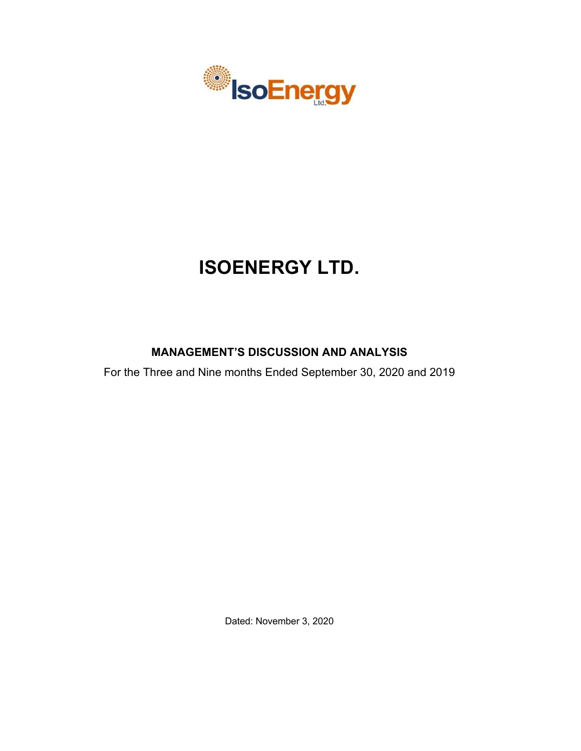

# **ISOENERGY LTD.**

# **MANAGEMENT'S DISCUSSION AND ANALYSIS**

For the Three and Nine months Ended September 30, 2020 and 2019

Dated: November 3, 2020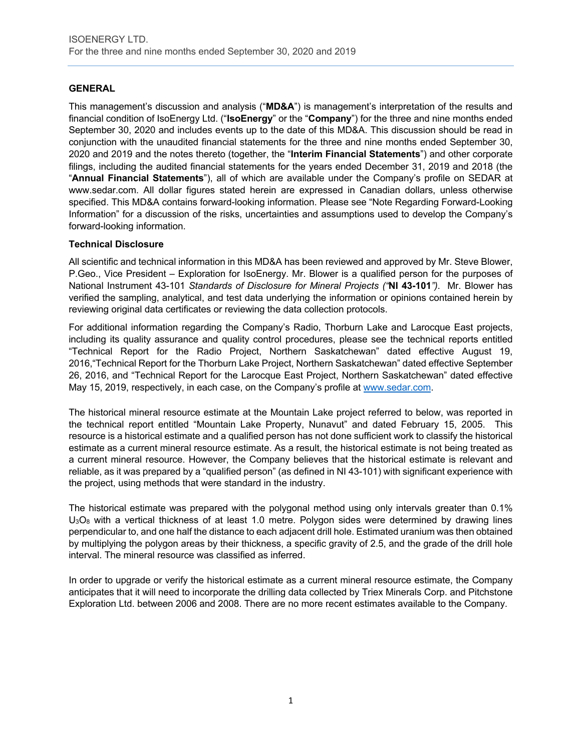# **GENERAL**

This management's discussion and analysis ("**MD&A**") is management's interpretation of the results and financial condition of IsoEnergy Ltd. ("**IsoEnergy**" or the "**Company**") for the three and nine months ended September 30, 2020 and includes events up to the date of this MD&A. This discussion should be read in conjunction with the unaudited financial statements for the three and nine months ended September 30, 2020 and 2019 and the notes thereto (together, the "**Interim Financial Statements**") and other corporate filings, including the audited financial statements for the years ended December 31, 2019 and 2018 (the "**Annual Financial Statements**"), all of which are available under the Company's profile on SEDAR at www.sedar.com. All dollar figures stated herein are expressed in Canadian dollars, unless otherwise specified. This MD&A contains forward-looking information. Please see "Note Regarding Forward-Looking Information" for a discussion of the risks, uncertainties and assumptions used to develop the Company's forward-looking information.

#### **Technical Disclosure**

All scientific and technical information in this MD&A has been reviewed and approved by Mr. Steve Blower, P.Geo., Vice President – Exploration for IsoEnergy. Mr. Blower is a qualified person for the purposes of National Instrument 43-101 *Standards of Disclosure for Mineral Projects ("***NI 43-101***")*. Mr. Blower has verified the sampling, analytical, and test data underlying the information or opinions contained herein by reviewing original data certificates or reviewing the data collection protocols.

For additional information regarding the Company's Radio, Thorburn Lake and Larocque East projects, including its quality assurance and quality control procedures, please see the technical reports entitled "Technical Report for the Radio Project, Northern Saskatchewan" dated effective August 19, 2016,"Technical Report for the Thorburn Lake Project, Northern Saskatchewan" dated effective September 26, 2016, and "Technical Report for the Larocque East Project, Northern Saskatchewan" dated effective May 15, 2019, respectively, in each case, on the Company's profile at www.sedar.com.

The historical mineral resource estimate at the Mountain Lake project referred to below, was reported in the technical report entitled "Mountain Lake Property, Nunavut" and dated February 15, 2005. This resource is a historical estimate and a qualified person has not done sufficient work to classify the historical estimate as a current mineral resource estimate. As a result, the historical estimate is not being treated as a current mineral resource. However, the Company believes that the historical estimate is relevant and reliable, as it was prepared by a "qualified person" (as defined in NI 43-101) with significant experience with the project, using methods that were standard in the industry.

The historical estimate was prepared with the polygonal method using only intervals greater than 0.1%  $U_3O_8$  with a vertical thickness of at least 1.0 metre. Polygon sides were determined by drawing lines perpendicular to, and one half the distance to each adjacent drill hole. Estimated uranium was then obtained by multiplying the polygon areas by their thickness, a specific gravity of 2.5, and the grade of the drill hole interval. The mineral resource was classified as inferred.

In order to upgrade or verify the historical estimate as a current mineral resource estimate, the Company anticipates that it will need to incorporate the drilling data collected by Triex Minerals Corp. and Pitchstone Exploration Ltd. between 2006 and 2008. There are no more recent estimates available to the Company.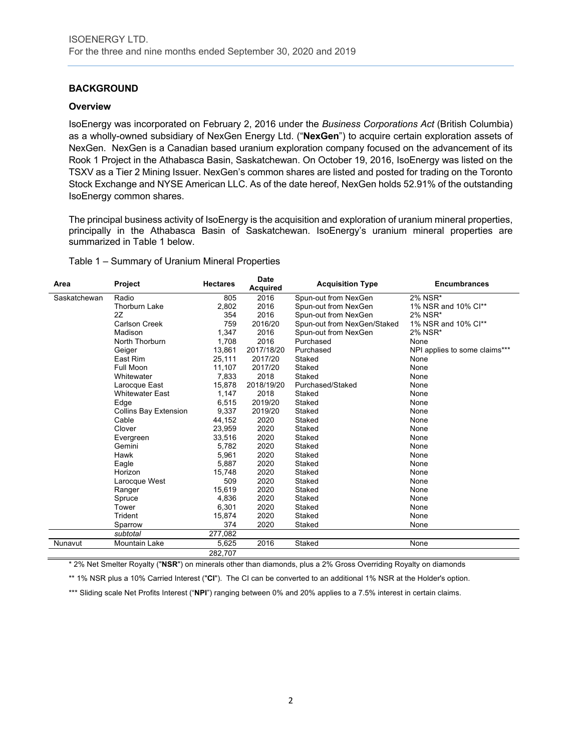# **BACKGROUND**

#### **Overview**

IsoEnergy was incorporated on February 2, 2016 under the *Business Corporations Act* (British Columbia) as a wholly-owned subsidiary of NexGen Energy Ltd. ("**NexGen**") to acquire certain exploration assets of NexGen. NexGen is a Canadian based uranium exploration company focused on the advancement of its Rook 1 Project in the Athabasca Basin, Saskatchewan. On October 19, 2016, IsoEnergy was listed on the TSXV as a Tier 2 Mining Issuer. NexGen's common shares are listed and posted for trading on the Toronto Stock Exchange and NYSE American LLC. As of the date hereof, NexGen holds 52.91% of the outstanding IsoEnergy common shares.

The principal business activity of IsoEnergy is the acquisition and exploration of uranium mineral properties, principally in the Athabasca Basin of Saskatchewan. IsoEnergy's uranium mineral properties are summarized in Table 1 below.

#### Table 1 – Summary of Uranium Mineral Properties

| Area         | Project                      | <b>Hectares</b> | <b>Date</b><br><b>Acquired</b> | <b>Acquisition Type</b>     | <b>Encumbrances</b>           |
|--------------|------------------------------|-----------------|--------------------------------|-----------------------------|-------------------------------|
| Saskatchewan | Radio                        | 805             | 2016                           | Spun-out from NexGen        | 2% NSR*                       |
|              | <b>Thorburn Lake</b>         | 2,802           | 2016                           | Spun-out from NexGen        | 1% NSR and 10% Cl**           |
|              | 2Z                           | 354             | 2016                           | Spun-out from NexGen        | 2% NSR*                       |
|              | Carlson Creek                | 759             | 2016/20                        | Spun-out from NexGen/Staked | 1% NSR and 10% Cl**           |
|              | Madison                      | 1,347           | 2016                           | Spun-out from NexGen        | 2% NSR*                       |
|              | North Thorburn               | 1,708           | 2016                           | Purchased                   | None                          |
|              | Geiger                       | 13,861          | 2017/18/20                     | Purchased                   | NPI applies to some claims*** |
|              | East Rim                     | 25,111          | 2017/20                        | Staked                      | None                          |
|              | <b>Full Moon</b>             | 11.107          | 2017/20                        | Staked                      | None                          |
|              | Whitewater                   | 7,833           | 2018                           | Staked                      | None                          |
|              | Larocque East                | 15,878          | 2018/19/20                     | Purchased/Staked            | None                          |
|              | <b>Whitewater East</b>       | 1.147           | 2018                           | Staked                      | None                          |
|              | Edge                         | 6.515           | 2019/20                        | Staked                      | None                          |
|              | <b>Collins Bay Extension</b> | 9,337           | 2019/20                        | Staked                      | None                          |
|              | Cable                        | 44,152          | 2020                           | Staked                      | None                          |
|              | Clover                       | 23,959          | 2020                           | Staked                      | None                          |
|              | Evergreen                    | 33,516          | 2020                           | Staked                      | None                          |
|              | Gemini                       | 5,782           | 2020                           | Staked                      | None                          |
|              | Hawk                         | 5,961           | 2020                           | Staked                      | None                          |
|              | Eagle                        | 5,887           | 2020                           | Staked                      | None                          |
|              | Horizon                      | 15,748          | 2020                           | Staked                      | None                          |
|              | Larocque West                | 509             | 2020                           | Staked                      | None                          |
|              | Ranger                       | 15,619          | 2020                           | Staked                      | None                          |
|              | Spruce                       | 4,836           | 2020                           | Staked                      | None                          |
|              | Tower                        | 6,301           | 2020                           | Staked                      | None                          |
|              | Trident                      | 15,874          | 2020                           | Staked                      | None                          |
|              | Sparrow                      | 374             | 2020                           | Staked                      | None                          |
|              | subtotal                     | 277.082         |                                |                             |                               |
| Nunavut      | <b>Mountain Lake</b>         | 5,625           | 2016                           | Staked                      | None                          |
|              |                              | 282,707         |                                |                             |                               |

\* 2% Net Smelter Royalty ("**NSR**") on minerals other than diamonds, plus a 2% Gross Overriding Royalty on diamonds

\*\* 1% NSR plus a 10% Carried Interest ("**CI**"). The CI can be converted to an additional 1% NSR at the Holder's option.

\*\*\* Sliding scale Net Profits Interest ("NPI") ranging between 0% and 20% applies to a 7.5% interest in certain claims.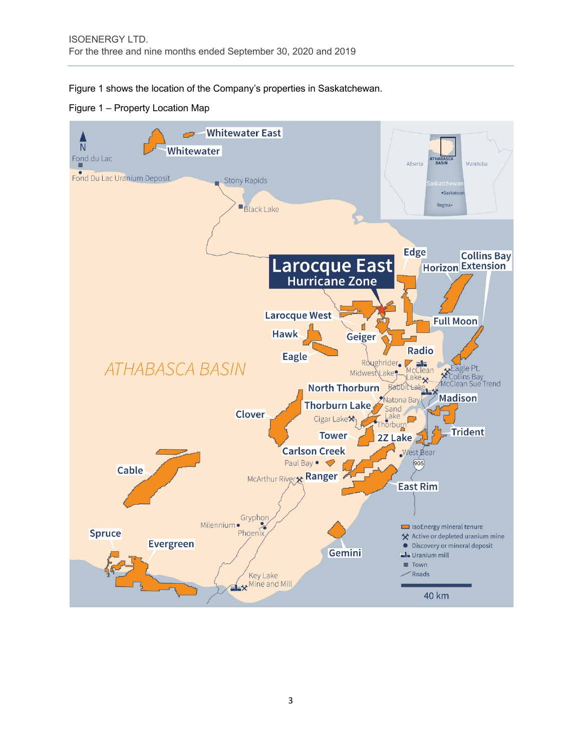Figure 1 shows the location of the Company's properties in Saskatchewan.

Figure 1 – Property Location Map

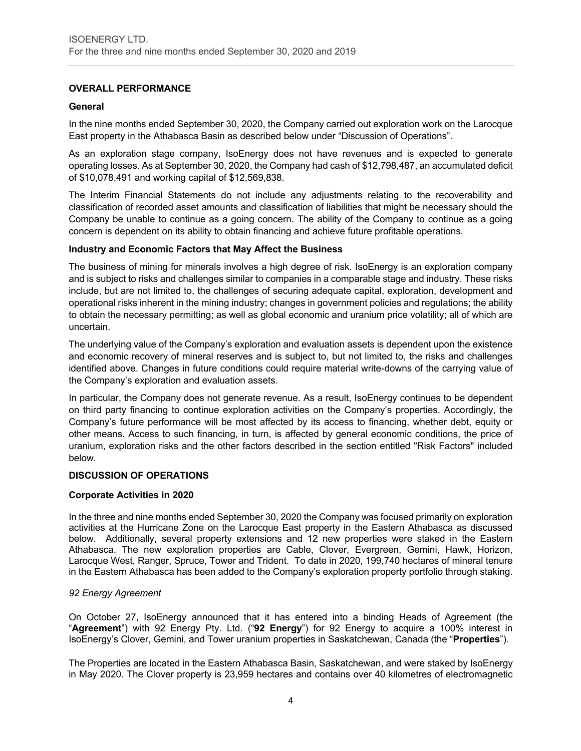# **OVERALL PERFORMANCE**

#### **General**

In the nine months ended September 30, 2020, the Company carried out exploration work on the Larocque East property in the Athabasca Basin as described below under "Discussion of Operations".

As an exploration stage company, IsoEnergy does not have revenues and is expected to generate operating losses. As at September 30, 2020, the Company had cash of \$12,798,487, an accumulated deficit of \$10,078,491 and working capital of \$12,569,838.

The Interim Financial Statements do not include any adjustments relating to the recoverability and classification of recorded asset amounts and classification of liabilities that might be necessary should the Company be unable to continue as a going concern. The ability of the Company to continue as a going concern is dependent on its ability to obtain financing and achieve future profitable operations.

#### **Industry and Economic Factors that May Affect the Business**

The business of mining for minerals involves a high degree of risk. IsoEnergy is an exploration company and is subject to risks and challenges similar to companies in a comparable stage and industry. These risks include, but are not limited to, the challenges of securing adequate capital, exploration, development and operational risks inherent in the mining industry; changes in government policies and regulations; the ability to obtain the necessary permitting; as well as global economic and uranium price volatility; all of which are uncertain.

The underlying value of the Company's exploration and evaluation assets is dependent upon the existence and economic recovery of mineral reserves and is subject to, but not limited to, the risks and challenges identified above. Changes in future conditions could require material write-downs of the carrying value of the Company's exploration and evaluation assets.

In particular, the Company does not generate revenue. As a result, IsoEnergy continues to be dependent on third party financing to continue exploration activities on the Company's properties. Accordingly, the Company's future performance will be most affected by its access to financing, whether debt, equity or other means. Access to such financing, in turn, is affected by general economic conditions, the price of uranium, exploration risks and the other factors described in the section entitled "Risk Factors" included below.

#### **DISCUSSION OF OPERATIONS**

#### **Corporate Activities in 2020**

In the three and nine months ended September 30, 2020 the Company was focused primarily on exploration activities at the Hurricane Zone on the Larocque East property in the Eastern Athabasca as discussed below. Additionally, several property extensions and 12 new properties were staked in the Eastern Athabasca. The new exploration properties are Cable, Clover, Evergreen, Gemini, Hawk, Horizon, Larocque West, Ranger, Spruce, Tower and Trident. To date in 2020, 199,740 hectares of mineral tenure in the Eastern Athabasca has been added to the Company's exploration property portfolio through staking.

#### *92 Energy Agreement*

On October 27, IsoEnergy announced that it has entered into a binding Heads of Agreement (the "**Agreement**") with 92 Energy Pty. Ltd. ("**92 Energy**") for 92 Energy to acquire a 100% interest in IsoEnergy's Clover, Gemini, and Tower uranium properties in Saskatchewan, Canada (the "**Properties**").

The Properties are located in the Eastern Athabasca Basin, Saskatchewan, and were staked by IsoEnergy in May 2020. The Clover property is 23,959 hectares and contains over 40 kilometres of electromagnetic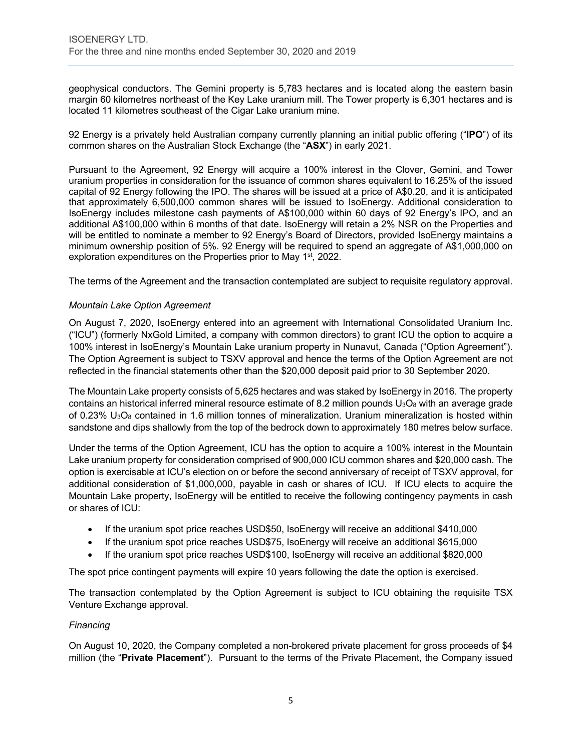geophysical conductors. The Gemini property is 5,783 hectares and is located along the eastern basin margin 60 kilometres northeast of the Key Lake uranium mill. The Tower property is 6,301 hectares and is located 11 kilometres southeast of the Cigar Lake uranium mine.

92 Energy is a privately held Australian company currently planning an initial public offering ("**IPO**") of its common shares on the Australian Stock Exchange (the "**ASX**") in early 2021.

Pursuant to the Agreement, 92 Energy will acquire a 100% interest in the Clover, Gemini, and Tower uranium properties in consideration for the issuance of common shares equivalent to 16.25% of the issued capital of 92 Energy following the IPO. The shares will be issued at a price of A\$0.20, and it is anticipated that approximately 6,500,000 common shares will be issued to IsoEnergy. Additional consideration to IsoEnergy includes milestone cash payments of A\$100,000 within 60 days of 92 Energy's IPO, and an additional A\$100,000 within 6 months of that date. IsoEnergy will retain a 2% NSR on the Properties and will be entitled to nominate a member to 92 Energy's Board of Directors, provided IsoEnergy maintains a minimum ownership position of 5%. 92 Energy will be required to spend an aggregate of A\$1,000,000 on exploration expenditures on the Properties prior to May 1<sup>st</sup>, 2022.

The terms of the Agreement and the transaction contemplated are subject to requisite regulatory approval.

#### *Mountain Lake Option Agreement*

On August 7, 2020, IsoEnergy entered into an agreement with International Consolidated Uranium Inc. ("ICU") (formerly NxGold Limited, a company with common directors) to grant ICU the option to acquire a 100% interest in IsoEnergy's Mountain Lake uranium property in Nunavut, Canada ("Option Agreement"). The Option Agreement is subject to TSXV approval and hence the terms of the Option Agreement are not reflected in the financial statements other than the \$20,000 deposit paid prior to 30 September 2020.

The Mountain Lake property consists of 5,625 hectares and was staked by IsoEnergy in 2016. The property contains an historical inferred mineral resource estimate of 8.2 million pounds  $U_3O_8$  with an average grade of 0.23%  $U_3O_8$  contained in 1.6 million tonnes of mineralization. Uranium mineralization is hosted within sandstone and dips shallowly from the top of the bedrock down to approximately 180 metres below surface.

Under the terms of the Option Agreement, ICU has the option to acquire a 100% interest in the Mountain Lake uranium property for consideration comprised of 900,000 ICU common shares and \$20,000 cash. The option is exercisable at ICU's election on or before the second anniversary of receipt of TSXV approval, for additional consideration of \$1,000,000, payable in cash or shares of ICU. If ICU elects to acquire the Mountain Lake property, IsoEnergy will be entitled to receive the following contingency payments in cash or shares of ICU:

- If the uranium spot price reaches USD\$50, IsoEnergy will receive an additional \$410,000
- If the uranium spot price reaches USD\$75, IsoEnergy will receive an additional \$615,000
- If the uranium spot price reaches USD\$100, IsoEnergy will receive an additional \$820,000

The spot price contingent payments will expire 10 years following the date the option is exercised.

The transaction contemplated by the Option Agreement is subject to ICU obtaining the requisite TSX Venture Exchange approval.

#### *Financing*

On August 10, 2020, the Company completed a non-brokered private placement for gross proceeds of \$4 million (the "**Private Placement**"). Pursuant to the terms of the Private Placement, the Company issued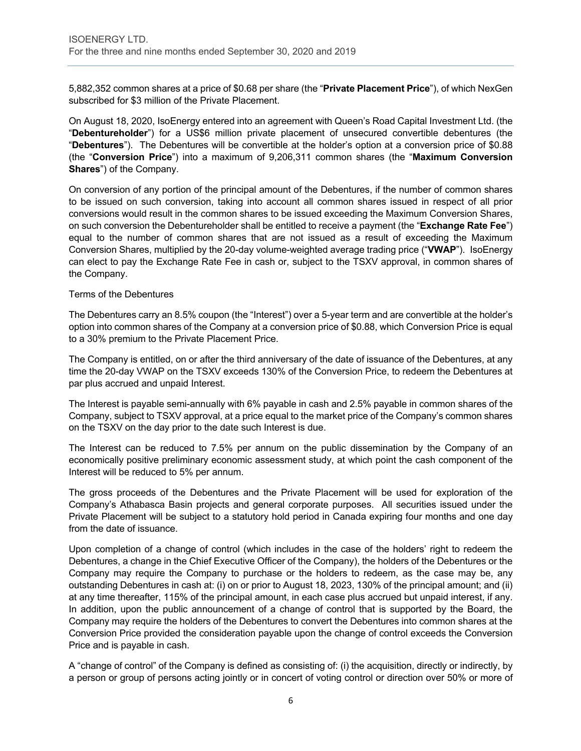5,882,352 common shares at a price of \$0.68 per share (the "**Private Placement Price**"), of which NexGen subscribed for \$3 million of the Private Placement.

On August 18, 2020, IsoEnergy entered into an agreement with Queen's Road Capital Investment Ltd. (the "**Debentureholder**") for a US\$6 million private placement of unsecured convertible debentures (the "**Debentures**"). The Debentures will be convertible at the holder's option at a conversion price of \$0.88 (the "**Conversion Price**") into a maximum of 9,206,311 common shares (the "**Maximum Conversion Shares**") of the Company.

On conversion of any portion of the principal amount of the Debentures, if the number of common shares to be issued on such conversion, taking into account all common shares issued in respect of all prior conversions would result in the common shares to be issued exceeding the Maximum Conversion Shares, on such conversion the Debentureholder shall be entitled to receive a payment (the "**Exchange Rate Fee**") equal to the number of common shares that are not issued as a result of exceeding the Maximum Conversion Shares, multiplied by the 20-day volume-weighted average trading price ("**VWAP**"). IsoEnergy can elect to pay the Exchange Rate Fee in cash or, subject to the TSXV approval, in common shares of the Company.

#### Terms of the Debentures

The Debentures carry an 8.5% coupon (the "Interest") over a 5-year term and are convertible at the holder's option into common shares of the Company at a conversion price of \$0.88, which Conversion Price is equal to a 30% premium to the Private Placement Price.

The Company is entitled, on or after the third anniversary of the date of issuance of the Debentures, at any time the 20-day VWAP on the TSXV exceeds 130% of the Conversion Price, to redeem the Debentures at par plus accrued and unpaid Interest.

The Interest is payable semi-annually with 6% payable in cash and 2.5% payable in common shares of the Company, subject to TSXV approval, at a price equal to the market price of the Company's common shares on the TSXV on the day prior to the date such Interest is due.

The Interest can be reduced to 7.5% per annum on the public dissemination by the Company of an economically positive preliminary economic assessment study, at which point the cash component of the Interest will be reduced to 5% per annum.

The gross proceeds of the Debentures and the Private Placement will be used for exploration of the Company's Athabasca Basin projects and general corporate purposes. All securities issued under the Private Placement will be subject to a statutory hold period in Canada expiring four months and one day from the date of issuance.

Upon completion of a change of control (which includes in the case of the holders' right to redeem the Debentures, a change in the Chief Executive Officer of the Company), the holders of the Debentures or the Company may require the Company to purchase or the holders to redeem, as the case may be, any outstanding Debentures in cash at: (i) on or prior to August 18, 2023, 130% of the principal amount; and (ii) at any time thereafter, 115% of the principal amount, in each case plus accrued but unpaid interest, if any. In addition, upon the public announcement of a change of control that is supported by the Board, the Company may require the holders of the Debentures to convert the Debentures into common shares at the Conversion Price provided the consideration payable upon the change of control exceeds the Conversion Price and is payable in cash.

A "change of control" of the Company is defined as consisting of: (i) the acquisition, directly or indirectly, by a person or group of persons acting jointly or in concert of voting control or direction over 50% or more of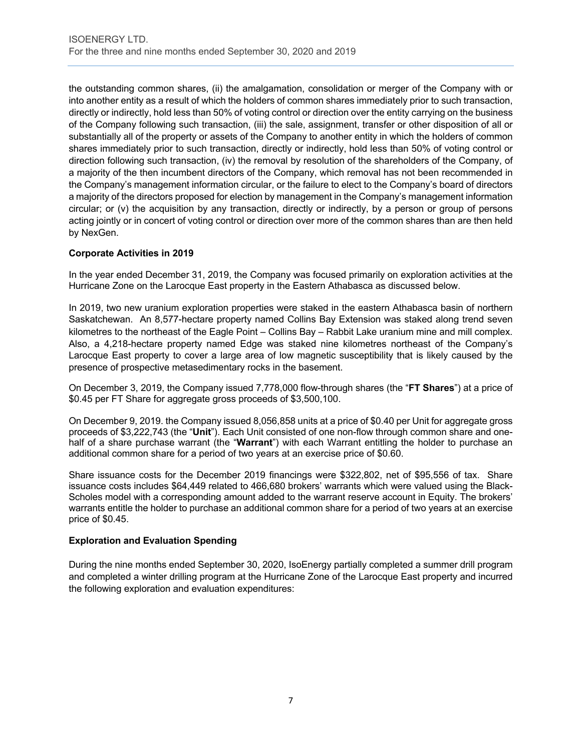the outstanding common shares, (ii) the amalgamation, consolidation or merger of the Company with or into another entity as a result of which the holders of common shares immediately prior to such transaction, directly or indirectly, hold less than 50% of voting control or direction over the entity carrying on the business of the Company following such transaction, (iii) the sale, assignment, transfer or other disposition of all or substantially all of the property or assets of the Company to another entity in which the holders of common shares immediately prior to such transaction, directly or indirectly, hold less than 50% of voting control or direction following such transaction, (iv) the removal by resolution of the shareholders of the Company, of a majority of the then incumbent directors of the Company, which removal has not been recommended in the Company's management information circular, or the failure to elect to the Company's board of directors a majority of the directors proposed for election by management in the Company's management information circular; or (v) the acquisition by any transaction, directly or indirectly, by a person or group of persons acting jointly or in concert of voting control or direction over more of the common shares than are then held by NexGen.

# **Corporate Activities in 2019**

In the year ended December 31, 2019, the Company was focused primarily on exploration activities at the Hurricane Zone on the Larocque East property in the Eastern Athabasca as discussed below.

In 2019, two new uranium exploration properties were staked in the eastern Athabasca basin of northern Saskatchewan. An 8,577-hectare property named Collins Bay Extension was staked along trend seven kilometres to the northeast of the Eagle Point – Collins Bay – Rabbit Lake uranium mine and mill complex. Also, a 4,218-hectare property named Edge was staked nine kilometres northeast of the Company's Larocque East property to cover a large area of low magnetic susceptibility that is likely caused by the presence of prospective metasedimentary rocks in the basement.

On December 3, 2019, the Company issued 7,778,000 flow-through shares (the "**FT Shares**") at a price of \$0.45 per FT Share for aggregate gross proceeds of \$3,500,100.

On December 9, 2019. the Company issued 8,056,858 units at a price of \$0.40 per Unit for aggregate gross proceeds of \$3,222,743 (the "**Unit**"). Each Unit consisted of one non-flow through common share and onehalf of a share purchase warrant (the "**Warrant**") with each Warrant entitling the holder to purchase an additional common share for a period of two years at an exercise price of \$0.60.

Share issuance costs for the December 2019 financings were \$322,802, net of \$95,556 of tax. Share issuance costs includes \$64,449 related to 466,680 brokers' warrants which were valued using the Black-Scholes model with a corresponding amount added to the warrant reserve account in Equity. The brokers' warrants entitle the holder to purchase an additional common share for a period of two years at an exercise price of \$0.45.

#### **Exploration and Evaluation Spending**

During the nine months ended September 30, 2020, IsoEnergy partially completed a summer drill program and completed a winter drilling program at the Hurricane Zone of the Larocque East property and incurred the following exploration and evaluation expenditures: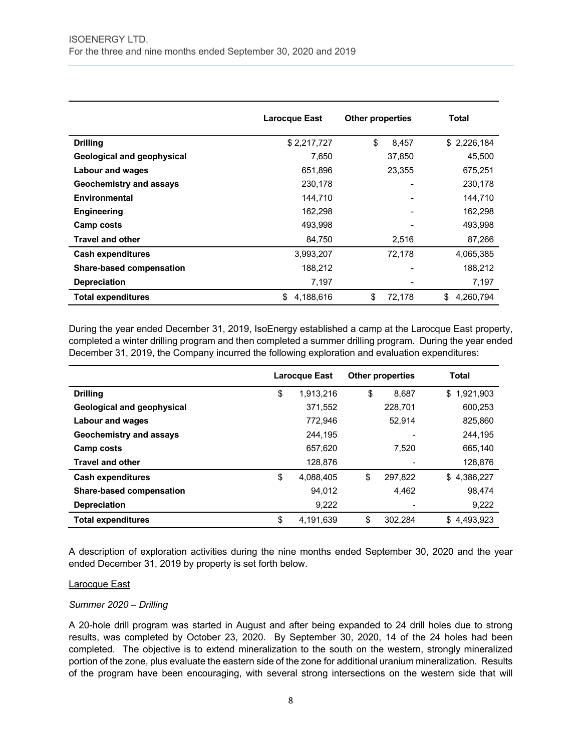|                                 | <b>Larocque East</b> | <b>Other properties</b> | Total           |
|---------------------------------|----------------------|-------------------------|-----------------|
| <b>Drilling</b>                 | \$2,217,727          | \$<br>8,457             | \$2,226,184     |
| Geological and geophysical      | 7,650                | 37,850                  | 45,500          |
| <b>Labour and wages</b>         | 651,896              | 23,355                  | 675,251         |
| Geochemistry and assays         | 230,178              |                         | 230,178         |
| Environmental                   | 144,710              |                         | 144,710         |
| <b>Engineering</b>              | 162,298              |                         | 162,298         |
| Camp costs                      | 493,998              |                         | 493,998         |
| <b>Travel and other</b>         | 84,750               | 2,516                   | 87,266          |
| <b>Cash expenditures</b>        | 3,993,207            | 72,178                  | 4,065,385       |
| <b>Share-based compensation</b> | 188,212              |                         | 188,212         |
| <b>Depreciation</b>             | 7,197                |                         | 7,197           |
| <b>Total expenditures</b>       | 4,188,616<br>S       | \$<br>72,178            | \$<br>4,260,794 |

During the year ended December 31, 2019, IsoEnergy established a camp at the Larocque East property, completed a winter drilling program and then completed a summer drilling program. During the year ended December 31, 2019, the Company incurred the following exploration and evaluation expenditures:

|                                   | <b>Larocque East</b> |           | <b>Other properties</b> |         | <b>Total</b>    |
|-----------------------------------|----------------------|-----------|-------------------------|---------|-----------------|
| <b>Drilling</b>                   | \$                   | 1.913.216 | \$                      | 8.687   | 1.921.903<br>\$ |
| <b>Geological and geophysical</b> |                      | 371,552   |                         | 228.701 | 600.253         |
| <b>Labour and wages</b>           |                      | 772.946   |                         | 52.914  | 825.860         |
| Geochemistry and assays           |                      | 244.195   |                         |         | 244,195         |
| <b>Camp costs</b>                 |                      | 657.620   |                         | 7.520   | 665,140         |
| <b>Travel and other</b>           |                      | 128.876   |                         |         | 128,876         |
| <b>Cash expenditures</b>          | \$                   | 4.088.405 | \$                      | 297.822 | 4.386.227<br>\$ |
| <b>Share-based compensation</b>   |                      | 94,012    |                         | 4,462   | 98.474          |
| <b>Depreciation</b>               |                      | 9,222     |                         |         | 9,222           |
| <b>Total expenditures</b>         | \$                   | 4.191.639 | \$                      | 302.284 | \$<br>4,493,923 |

A description of exploration activities during the nine months ended September 30, 2020 and the year ended December 31, 2019 by property is set forth below.

#### Larocque East

#### *Summer 2020 – Drilling*

A 20-hole drill program was started in August and after being expanded to 24 drill holes due to strong results, was completed by October 23, 2020. By September 30, 2020, 14 of the 24 holes had been completed. The objective is to extend mineralization to the south on the western, strongly mineralized portion of the zone, plus evaluate the eastern side of the zone for additional uranium mineralization. Results of the program have been encouraging, with several strong intersections on the western side that will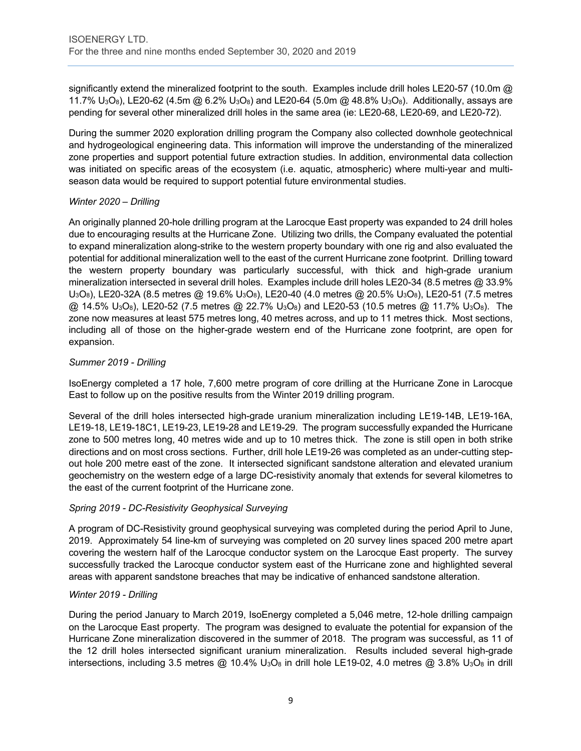significantly extend the mineralized footprint to the south. Examples include drill holes LE20-57 (10.0m @ 11.7%  $U_3O_8$ ), LE20-62 (4.5m @ 6.2%  $U_3O_8$ ) and LE20-64 (5.0m @ 48.8%  $U_3O_8$ ). Additionally, assays are pending for several other mineralized drill holes in the same area (ie: LE20-68, LE20-69, and LE20-72).

During the summer 2020 exploration drilling program the Company also collected downhole geotechnical and hydrogeological engineering data. This information will improve the understanding of the mineralized zone properties and support potential future extraction studies. In addition, environmental data collection was initiated on specific areas of the ecosystem (i.e. aquatic, atmospheric) where multi-year and multiseason data would be required to support potential future environmental studies.

# *Winter 2020 – Drilling*

An originally planned 20-hole drilling program at the Larocque East property was expanded to 24 drill holes due to encouraging results at the Hurricane Zone. Utilizing two drills, the Company evaluated the potential to expand mineralization along-strike to the western property boundary with one rig and also evaluated the potential for additional mineralization well to the east of the current Hurricane zone footprint. Drilling toward the western property boundary was particularly successful, with thick and high-grade uranium mineralization intersected in several drill holes. Examples include drill holes LE20-34 (8.5 metres @ 33.9%  $U_3O_8$ ), LE20-32A (8.5 metres @ 19.6%  $U_3O_8$ ), LE20-40 (4.0 metres @ 20.5%  $U_3O_8$ ), LE20-51 (7.5 metres  $@$  14.5% U<sub>3</sub>O<sub>8</sub>), LE20-52 (7.5 metres  $@$  22.7% U<sub>3</sub>O<sub>8</sub>) and LE20-53 (10.5 metres  $@$  11.7% U<sub>3</sub>O<sub>8</sub>). The zone now measures at least 575 metres long, 40 metres across, and up to 11 metres thick. Most sections, including all of those on the higher-grade western end of the Hurricane zone footprint, are open for expansion.

# *Summer 2019 - Drilling*

IsoEnergy completed a 17 hole, 7,600 metre program of core drilling at the Hurricane Zone in Larocque East to follow up on the positive results from the Winter 2019 drilling program.

Several of the drill holes intersected high-grade uranium mineralization including LE19-14B, LE19-16A, LE19-18, LE19-18C1, LE19-23, LE19-28 and LE19-29. The program successfully expanded the Hurricane zone to 500 metres long, 40 metres wide and up to 10 metres thick. The zone is still open in both strike directions and on most cross sections. Further, drill hole LE19-26 was completed as an under-cutting stepout hole 200 metre east of the zone. It intersected significant sandstone alteration and elevated uranium geochemistry on the western edge of a large DC-resistivity anomaly that extends for several kilometres to the east of the current footprint of the Hurricane zone.

# *Spring 2019 - DC-Resistivity Geophysical Surveying*

A program of DC-Resistivity ground geophysical surveying was completed during the period April to June, 2019. Approximately 54 line-km of surveying was completed on 20 survey lines spaced 200 metre apart covering the western half of the Larocque conductor system on the Larocque East property. The survey successfully tracked the Larocque conductor system east of the Hurricane zone and highlighted several areas with apparent sandstone breaches that may be indicative of enhanced sandstone alteration.

# *Winter 2019 - Drilling*

During the period January to March 2019, IsoEnergy completed a 5,046 metre, 12-hole drilling campaign on the Larocque East property. The program was designed to evaluate the potential for expansion of the Hurricane Zone mineralization discovered in the summer of 2018. The program was successful, as 11 of the 12 drill holes intersected significant uranium mineralization. Results included several high-grade intersections, including 3.5 metres  $@$  10.4%  $U_3O_8$  in drill hole LE19-02, 4.0 metres  $@$  3.8%  $U_3O_8$  in drill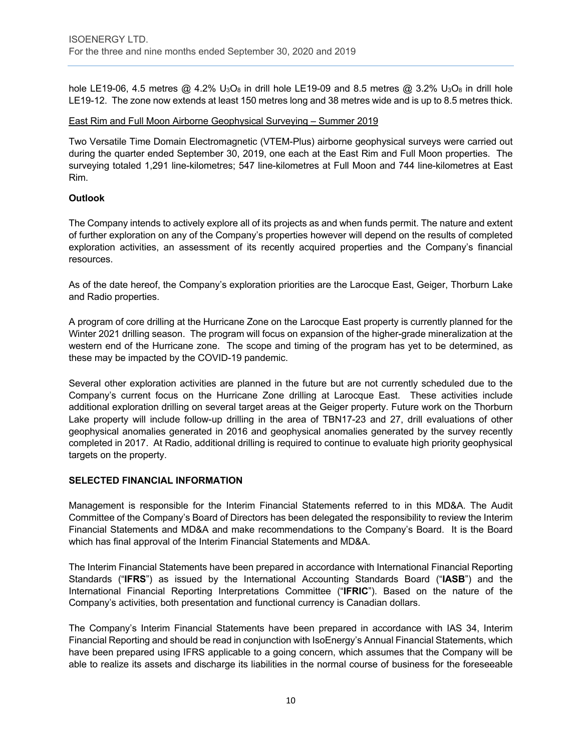hole LE19-06, 4.5 metres  $@$  4.2% U<sub>3</sub>O<sub>8</sub> in drill hole LE19-09 and 8.5 metres  $@$  3.2% U<sub>3</sub>O<sub>8</sub> in drill hole LE19-12. The zone now extends at least 150 metres long and 38 metres wide and is up to 8.5 metres thick.

#### East Rim and Full Moon Airborne Geophysical Surveying – Summer 2019

Two Versatile Time Domain Electromagnetic (VTEM-Plus) airborne geophysical surveys were carried out during the quarter ended September 30, 2019, one each at the East Rim and Full Moon properties. The surveying totaled 1,291 line-kilometres; 547 line-kilometres at Full Moon and 744 line-kilometres at East Rim.

#### **Outlook**

The Company intends to actively explore all of its projects as and when funds permit. The nature and extent of further exploration on any of the Company's properties however will depend on the results of completed exploration activities, an assessment of its recently acquired properties and the Company's financial resources.

As of the date hereof, the Company's exploration priorities are the Larocque East, Geiger, Thorburn Lake and Radio properties.

A program of core drilling at the Hurricane Zone on the Larocque East property is currently planned for the Winter 2021 drilling season. The program will focus on expansion of the higher-grade mineralization at the western end of the Hurricane zone. The scope and timing of the program has yet to be determined, as these may be impacted by the COVID-19 pandemic.

Several other exploration activities are planned in the future but are not currently scheduled due to the Company's current focus on the Hurricane Zone drilling at Larocque East. These activities include additional exploration drilling on several target areas at the Geiger property. Future work on the Thorburn Lake property will include follow-up drilling in the area of TBN17-23 and 27, drill evaluations of other geophysical anomalies generated in 2016 and geophysical anomalies generated by the survey recently completed in 2017. At Radio, additional drilling is required to continue to evaluate high priority geophysical targets on the property.

#### **SELECTED FINANCIAL INFORMATION**

Management is responsible for the Interim Financial Statements referred to in this MD&A. The Audit Committee of the Company's Board of Directors has been delegated the responsibility to review the Interim Financial Statements and MD&A and make recommendations to the Company's Board. It is the Board which has final approval of the Interim Financial Statements and MD&A.

The Interim Financial Statements have been prepared in accordance with International Financial Reporting Standards ("**IFRS**") as issued by the International Accounting Standards Board ("**IASB**") and the International Financial Reporting Interpretations Committee ("**IFRIC**"). Based on the nature of the Company's activities, both presentation and functional currency is Canadian dollars.

The Company's Interim Financial Statements have been prepared in accordance with IAS 34, Interim Financial Reporting and should be read in conjunction with IsoEnergy's Annual Financial Statements, which have been prepared using IFRS applicable to a going concern, which assumes that the Company will be able to realize its assets and discharge its liabilities in the normal course of business for the foreseeable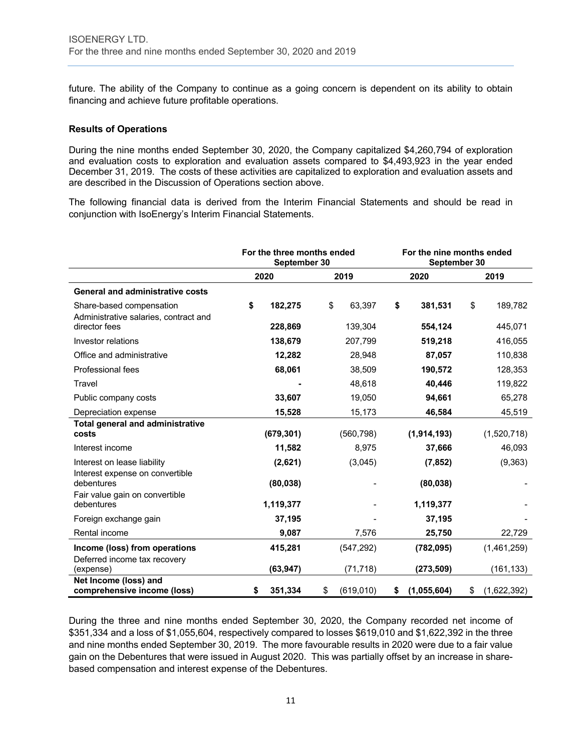future. The ability of the Company to continue as a going concern is dependent on its ability to obtain financing and achieve future profitable operations.

#### **Results of Operations**

During the nine months ended September 30, 2020, the Company capitalized \$4,260,794 of exploration and evaluation costs to exploration and evaluation assets compared to \$4,493,923 in the year ended December 31, 2019. The costs of these activities are capitalized to exploration and evaluation assets and are described in the Discussion of Operations section above.

The following financial data is derived from the Interim Financial Statements and should be read in conjunction with IsoEnergy's Interim Financial Statements.

|                                                                                 | For the three months ended<br>September 30 |            |    | For the nine months ended<br>September 30 |    |             |    |             |
|---------------------------------------------------------------------------------|--------------------------------------------|------------|----|-------------------------------------------|----|-------------|----|-------------|
|                                                                                 |                                            | 2020       |    | 2019                                      |    | 2020        |    | 2019        |
| <b>General and administrative costs</b>                                         |                                            |            |    |                                           |    |             |    |             |
| Share-based compensation                                                        | \$                                         | 182,275    | \$ | 63,397                                    | \$ | 381,531     | \$ | 189,782     |
| Administrative salaries, contract and<br>director fees                          |                                            | 228,869    |    | 139,304                                   |    | 554,124     |    | 445,071     |
| Investor relations                                                              |                                            | 138,679    |    | 207,799                                   |    | 519,218     |    | 416,055     |
| Office and administrative                                                       |                                            | 12,282     |    | 28,948                                    |    | 87,057      |    | 110,838     |
| Professional fees                                                               |                                            | 68,061     |    | 38,509                                    |    | 190,572     |    | 128,353     |
| Travel                                                                          |                                            |            |    | 48,618                                    |    | 40,446      |    | 119,822     |
| Public company costs                                                            |                                            | 33,607     |    | 19,050                                    |    | 94,661      |    | 65,278      |
| Depreciation expense                                                            |                                            | 15,528     |    | 15,173                                    |    | 46,584      |    | 45,519      |
| <b>Total general and administrative</b><br>costs                                |                                            | (679, 301) |    | (560, 798)                                |    | (1,914,193) |    | (1,520,718) |
| Interest income                                                                 |                                            | 11,582     |    | 8,975                                     |    | 37,666      |    | 46,093      |
| Interest on lease liability                                                     |                                            | (2,621)    |    | (3,045)                                   |    | (7, 852)    |    | (9, 363)    |
| Interest expense on convertible<br>debentures<br>Fair value gain on convertible |                                            | (80, 038)  |    |                                           |    | (80, 038)   |    |             |
| debentures                                                                      |                                            | 1,119,377  |    |                                           |    | 1,119,377   |    |             |
| Foreign exchange gain                                                           |                                            | 37,195     |    |                                           |    | 37,195      |    |             |
| Rental income                                                                   |                                            | 9,087      |    | 7,576                                     |    | 25,750      |    | 22,729      |
| Income (loss) from operations                                                   |                                            | 415,281    |    | (547, 292)                                |    | (782, 095)  |    | (1,461,259) |
| Deferred income tax recovery<br>(expense)                                       |                                            | (63, 947)  |    | (71, 718)                                 |    | (273, 509)  |    | (161, 133)  |
| Net Income (loss) and<br>comprehensive income (loss)                            | \$                                         | 351,334    | \$ | (619, 010)                                | \$ | (1,055,604) | \$ | (1,622,392) |

During the three and nine months ended September 30, 2020, the Company recorded net income of \$351,334 and a loss of \$1,055,604, respectively compared to losses \$619,010 and \$1,622,392 in the three and nine months ended September 30, 2019. The more favourable results in 2020 were due to a fair value gain on the Debentures that were issued in August 2020. This was partially offset by an increase in sharebased compensation and interest expense of the Debentures.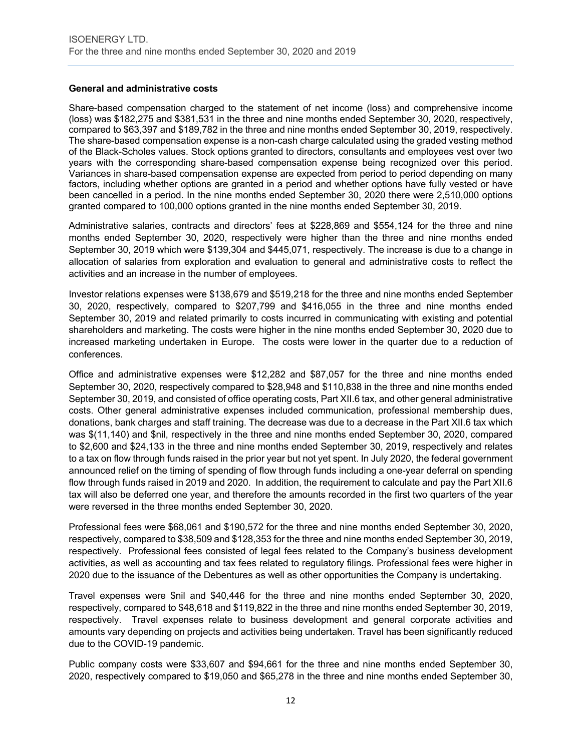#### **General and administrative costs**

Share-based compensation charged to the statement of net income (loss) and comprehensive income (loss) was \$182,275 and \$381,531 in the three and nine months ended September 30, 2020, respectively, compared to \$63,397 and \$189,782 in the three and nine months ended September 30, 2019, respectively. The share-based compensation expense is a non-cash charge calculated using the graded vesting method of the Black-Scholes values. Stock options granted to directors, consultants and employees vest over two years with the corresponding share-based compensation expense being recognized over this period. Variances in share-based compensation expense are expected from period to period depending on many factors, including whether options are granted in a period and whether options have fully vested or have been cancelled in a period. In the nine months ended September 30, 2020 there were 2,510,000 options granted compared to 100,000 options granted in the nine months ended September 30, 2019.

Administrative salaries, contracts and directors' fees at \$228,869 and \$554,124 for the three and nine months ended September 30, 2020, respectively were higher than the three and nine months ended September 30, 2019 which were \$139,304 and \$445,071, respectively. The increase is due to a change in allocation of salaries from exploration and evaluation to general and administrative costs to reflect the activities and an increase in the number of employees.

Investor relations expenses were \$138,679 and \$519,218 for the three and nine months ended September 30, 2020, respectively, compared to \$207,799 and \$416,055 in the three and nine months ended September 30, 2019 and related primarily to costs incurred in communicating with existing and potential shareholders and marketing. The costs were higher in the nine months ended September 30, 2020 due to increased marketing undertaken in Europe. The costs were lower in the quarter due to a reduction of conferences.

Office and administrative expenses were \$12,282 and \$87,057 for the three and nine months ended September 30, 2020, respectively compared to \$28,948 and \$110,838 in the three and nine months ended September 30, 2019, and consisted of office operating costs, Part XII.6 tax, and other general administrative costs. Other general administrative expenses included communication, professional membership dues, donations, bank charges and staff training. The decrease was due to a decrease in the Part XII.6 tax which was \$(11,140) and \$nil, respectively in the three and nine months ended September 30, 2020, compared to \$2,600 and \$24,133 in the three and nine months ended September 30, 2019, respectively and relates to a tax on flow through funds raised in the prior year but not yet spent. In July 2020, the federal government announced relief on the timing of spending of flow through funds including a one-year deferral on spending flow through funds raised in 2019 and 2020. In addition, the requirement to calculate and pay the Part XII.6 tax will also be deferred one year, and therefore the amounts recorded in the first two quarters of the year were reversed in the three months ended September 30, 2020.

Professional fees were \$68,061 and \$190,572 for the three and nine months ended September 30, 2020, respectively, compared to \$38,509 and \$128,353 for the three and nine months ended September 30, 2019, respectively. Professional fees consisted of legal fees related to the Company's business development activities, as well as accounting and tax fees related to regulatory filings. Professional fees were higher in 2020 due to the issuance of the Debentures as well as other opportunities the Company is undertaking.

Travel expenses were \$nil and \$40,446 for the three and nine months ended September 30, 2020, respectively, compared to \$48,618 and \$119,822 in the three and nine months ended September 30, 2019, respectively. Travel expenses relate to business development and general corporate activities and amounts vary depending on projects and activities being undertaken. Travel has been significantly reduced due to the COVID-19 pandemic.

Public company costs were \$33,607 and \$94,661 for the three and nine months ended September 30, 2020, respectively compared to \$19,050 and \$65,278 in the three and nine months ended September 30,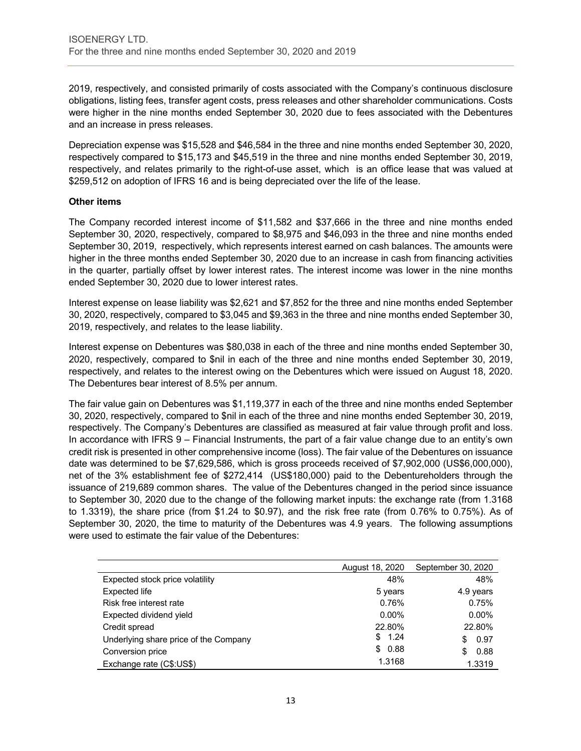2019, respectively, and consisted primarily of costs associated with the Company's continuous disclosure obligations, listing fees, transfer agent costs, press releases and other shareholder communications. Costs were higher in the nine months ended September 30, 2020 due to fees associated with the Debentures and an increase in press releases.

Depreciation expense was \$15,528 and \$46,584 in the three and nine months ended September 30, 2020, respectively compared to \$15,173 and \$45,519 in the three and nine months ended September 30, 2019, respectively, and relates primarily to the right-of-use asset, which is an office lease that was valued at \$259,512 on adoption of IFRS 16 and is being depreciated over the life of the lease.

#### **Other items**

The Company recorded interest income of \$11,582 and \$37,666 in the three and nine months ended September 30, 2020, respectively, compared to \$8,975 and \$46,093 in the three and nine months ended September 30, 2019, respectively, which represents interest earned on cash balances. The amounts were higher in the three months ended September 30, 2020 due to an increase in cash from financing activities in the quarter, partially offset by lower interest rates. The interest income was lower in the nine months ended September 30, 2020 due to lower interest rates.

Interest expense on lease liability was \$2,621 and \$7,852 for the three and nine months ended September 30, 2020, respectively, compared to \$3,045 and \$9,363 in the three and nine months ended September 30, 2019, respectively, and relates to the lease liability.

Interest expense on Debentures was \$80,038 in each of the three and nine months ended September 30, 2020, respectively, compared to \$nil in each of the three and nine months ended September 30, 2019, respectively, and relates to the interest owing on the Debentures which were issued on August 18, 2020. The Debentures bear interest of 8.5% per annum.

The fair value gain on Debentures was \$1,119,377 in each of the three and nine months ended September 30, 2020, respectively, compared to \$nil in each of the three and nine months ended September 30, 2019, respectively. The Company's Debentures are classified as measured at fair value through profit and loss. In accordance with IFRS 9 – Financial Instruments, the part of a fair value change due to an entity's own credit risk is presented in other comprehensive income (loss). The fair value of the Debentures on issuance date was determined to be \$7,629,586, which is gross proceeds received of \$7,902,000 (US\$6,000,000), net of the 3% establishment fee of \$272,414 (US\$180,000) paid to the Debentureholders through the issuance of 219,689 common shares. The value of the Debentures changed in the period since issuance to September 30, 2020 due to the change of the following market inputs: the exchange rate (from 1.3168 to 1.3319), the share price (from \$1.24 to \$0.97), and the risk free rate (from 0.76% to 0.75%). As of September 30, 2020, the time to maturity of the Debentures was 4.9 years. The following assumptions were used to estimate the fair value of the Debentures:

|                                       | August 18, 2020 | September 30, 2020 |
|---------------------------------------|-----------------|--------------------|
| Expected stock price volatility       | 48%             | 48%                |
| Expected life                         | 5 years         | 4.9 years          |
| Risk free interest rate               | 0.76%           | 0.75%              |
| Expected dividend yield               | $0.00\%$        | $0.00\%$           |
| Credit spread                         | 22.80%          | 22.80%             |
| Underlying share price of the Company | \$<br>1.24      | 0.97<br>S          |
| Conversion price                      | 0.88<br>\$      | 0.88<br>S          |
| Exchange rate (C\$:US\$)              | 1.3168          | 1.3319             |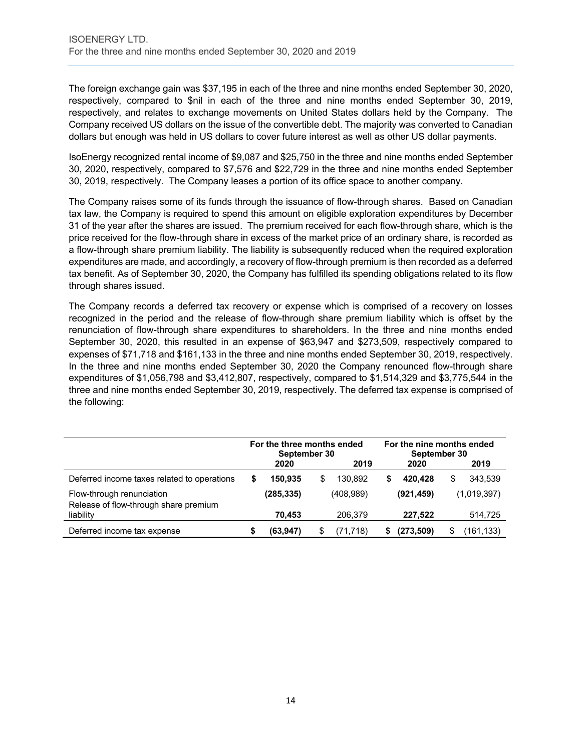The foreign exchange gain was \$37,195 in each of the three and nine months ended September 30, 2020, respectively, compared to \$nil in each of the three and nine months ended September 30, 2019, respectively, and relates to exchange movements on United States dollars held by the Company. The Company received US dollars on the issue of the convertible debt. The majority was converted to Canadian dollars but enough was held in US dollars to cover future interest as well as other US dollar payments.

IsoEnergy recognized rental income of \$9,087 and \$25,750 in the three and nine months ended September 30, 2020, respectively, compared to \$7,576 and \$22,729 in the three and nine months ended September 30, 2019, respectively. The Company leases a portion of its office space to another company.

The Company raises some of its funds through the issuance of flow-through shares. Based on Canadian tax law, the Company is required to spend this amount on eligible exploration expenditures by December 31 of the year after the shares are issued. The premium received for each flow-through share, which is the price received for the flow-through share in excess of the market price of an ordinary share, is recorded as a flow-through share premium liability. The liability is subsequently reduced when the required exploration expenditures are made, and accordingly, a recovery of flow-through premium is then recorded as a deferred tax benefit. As of September 30, 2020, the Company has fulfilled its spending obligations related to its flow through shares issued.

The Company records a deferred tax recovery or expense which is comprised of a recovery on losses recognized in the period and the release of flow-through share premium liability which is offset by the renunciation of flow-through share expenditures to shareholders. In the three and nine months ended September 30, 2020, this resulted in an expense of \$63,947 and \$273,509, respectively compared to expenses of \$71,718 and \$161,133 in the three and nine months ended September 30, 2019, respectively. In the three and nine months ended September 30, 2020 the Company renounced flow-through share expenditures of \$1,056,798 and \$3,412,807, respectively, compared to \$1,514,329 and \$3,775,544 in the three and nine months ended September 30, 2019, respectively. The deferred tax expense is comprised of the following:

|                                                                    | For the three months ended<br>September 30 |            |   | For the nine months ended<br>September 30 |   |            |   |             |
|--------------------------------------------------------------------|--------------------------------------------|------------|---|-------------------------------------------|---|------------|---|-------------|
|                                                                    |                                            | 2020       |   | 2019                                      |   | 2020       |   | 2019        |
| Deferred income taxes related to operations                        | S                                          | 150.935    | S | 130.892                                   | S | 420.428    | S | 343,539     |
| Flow-through renunciation<br>Release of flow-through share premium |                                            | (285, 335) |   | (408, 989)                                |   | (921, 459) |   | (1.019.397) |
| liability                                                          |                                            | 70,453     |   | 206.379                                   |   | 227.522    |   | 514,725     |
| Deferred income tax expense                                        |                                            | (63, 947)  |   | (71, 718)                                 |   | (273, 509) |   | (161,133)   |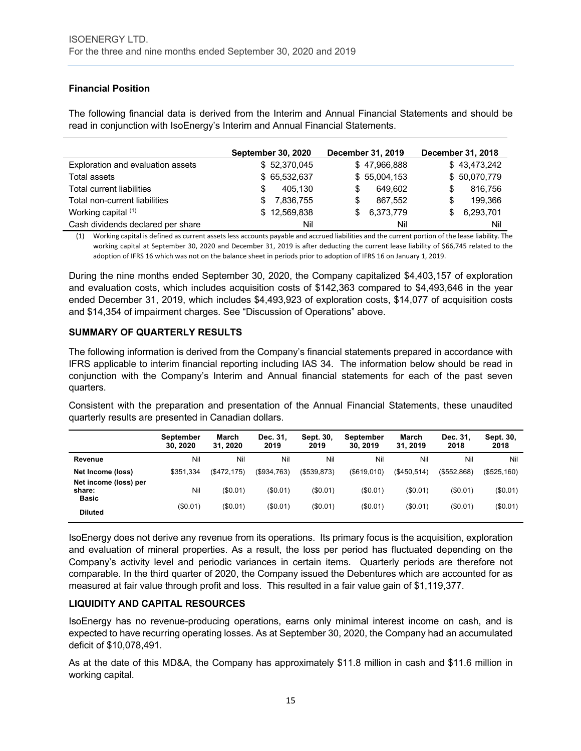# **Financial Position**

The following financial data is derived from the Interim and Annual Financial Statements and should be read in conjunction with IsoEnergy's Interim and Annual Financial Statements.

|                                   | <b>September 30, 2020</b> | December 31, 2019 | <b>December 31, 2018</b> |
|-----------------------------------|---------------------------|-------------------|--------------------------|
| Exploration and evaluation assets | \$52,370,045              | \$47,966,888      | \$43,473,242             |
| Total assets                      | \$65,532,637              | \$55,004,153      | \$50,070,779             |
| Total current liabilities         | 405.130                   | 649.602<br>S      | 816,756<br>S             |
| Total non-current liabilities     | 7,836,755                 | 867.552<br>S      | 199.366<br>S             |
| Working capital $(1)$             | \$12,569,838              | 6,373,779         | 6,293,701<br>S.          |
| Cash dividends declared per share | Nil                       | Nil               | Nil                      |

(1) Working capital is defined as current assets less accounts payable and accrued liabilities and the current portion of the lease liability. The working capital at September 30, 2020 and December 31, 2019 is after deducting the current lease liability of \$66,745 related to the adoption of IFRS 16 which was not on the balance sheet in periods prior to adoption of IFRS 16 on January 1, 2019.

During the nine months ended September 30, 2020, the Company capitalized \$4,403,157 of exploration and evaluation costs, which includes acquisition costs of \$142,363 compared to \$4,493,646 in the year ended December 31, 2019, which includes \$4,493,923 of exploration costs, \$14,077 of acquisition costs and \$14,354 of impairment charges. See "Discussion of Operations" above.

#### **SUMMARY OF QUARTERLY RESULTS**

The following information is derived from the Company's financial statements prepared in accordance with IFRS applicable to interim financial reporting including IAS 34. The information below should be read in conjunction with the Company's Interim and Annual financial statements for each of the past seven quarters.

Consistent with the preparation and presentation of the Annual Financial Statements, these unaudited quarterly results are presented in Canadian dollars.

|                                                 | <b>September</b><br>30.2020 | March<br>31.2020 | Dec. 31.<br>2019 | Sept. 30,<br>2019 | September<br>30.2019 | March<br>31.2019  | Dec. 31.<br>2018 | Sept. 30,<br>2018 |
|-------------------------------------------------|-----------------------------|------------------|------------------|-------------------|----------------------|-------------------|------------------|-------------------|
| Revenue                                         | Nil                         | Nil              | Nil              | Nil               | Nil                  | Nil               | Nil              | Nil               |
| Net Income (loss)                               | \$351.334                   | (\$472, 175)     | (\$934,763)      | (\$539,873)       | (\$619,010)          | $($ \$450.514 $)$ | (\$552,868)      | (\$525,160)       |
| Net income (loss) per<br>share:<br><b>Basic</b> | Nil                         | (\$0.01)         | (S0.01)          | (\$0.01)          | (\$0.01)             | (\$0.01)          | (\$0.01)         | (\$0.01)          |
| <b>Diluted</b>                                  | (\$0.01)                    | $(\$0.01)$       | (\$0.01)         | $(\$0.01)$        | (\$0.01)             | (\$0.01)          | (S0.01)          | (\$0.01)          |

IsoEnergy does not derive any revenue from its operations. Its primary focus is the acquisition, exploration and evaluation of mineral properties. As a result, the loss per period has fluctuated depending on the Company's activity level and periodic variances in certain items. Quarterly periods are therefore not comparable. In the third quarter of 2020, the Company issued the Debentures which are accounted for as measured at fair value through profit and loss. This resulted in a fair value gain of \$1,119,377.

#### **LIQUIDITY AND CAPITAL RESOURCES**

IsoEnergy has no revenue-producing operations, earns only minimal interest income on cash, and is expected to have recurring operating losses. As at September 30, 2020, the Company had an accumulated deficit of \$10,078,491.

As at the date of this MD&A, the Company has approximately \$11.8 million in cash and \$11.6 million in working capital.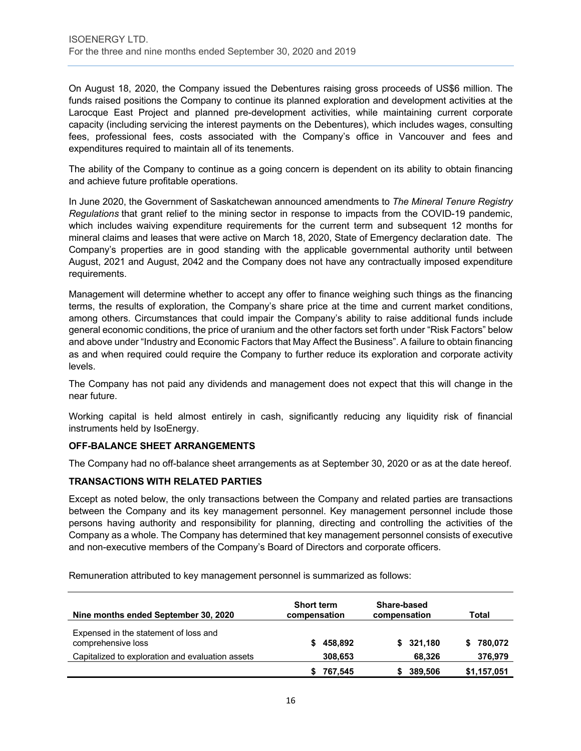On August 18, 2020, the Company issued the Debentures raising gross proceeds of US\$6 million. The funds raised positions the Company to continue its planned exploration and development activities at the Larocque East Project and planned pre-development activities, while maintaining current corporate capacity (including servicing the interest payments on the Debentures), which includes wages, consulting fees, professional fees, costs associated with the Company's office in Vancouver and fees and expenditures required to maintain all of its tenements.

The ability of the Company to continue as a going concern is dependent on its ability to obtain financing and achieve future profitable operations.

In June 2020, the Government of Saskatchewan announced amendments to *The Mineral Tenure Registry Regulations* that grant relief to the mining sector in response to impacts from the COVID-19 pandemic, which includes waiving expenditure requirements for the current term and subsequent 12 months for mineral claims and leases that were active on March 18, 2020, State of Emergency declaration date. The Company's properties are in good standing with the applicable governmental authority until between August, 2021 and August, 2042 and the Company does not have any contractually imposed expenditure requirements.

Management will determine whether to accept any offer to finance weighing such things as the financing terms, the results of exploration, the Company's share price at the time and current market conditions, among others. Circumstances that could impair the Company's ability to raise additional funds include general economic conditions, the price of uranium and the other factors set forth under "Risk Factors" below and above under "Industry and Economic Factors that May Affect the Business". A failure to obtain financing as and when required could require the Company to further reduce its exploration and corporate activity levels.

The Company has not paid any dividends and management does not expect that this will change in the near future.

Working capital is held almost entirely in cash, significantly reducing any liquidity risk of financial instruments held by IsoEnergy.

#### **OFF-BALANCE SHEET ARRANGEMENTS**

The Company had no off-balance sheet arrangements as at September 30, 2020 or as at the date hereof.

#### **TRANSACTIONS WITH RELATED PARTIES**

Except as noted below, the only transactions between the Company and related parties are transactions between the Company and its key management personnel. Key management personnel include those persons having authority and responsibility for planning, directing and controlling the activities of the Company as a whole. The Company has determined that key management personnel consists of executive and non-executive members of the Company's Board of Directors and corporate officers.

Remuneration attributed to key management personnel is summarized as follows:

| Nine months ended September 30, 2020                        | <b>Short term</b><br>compensation | Share-based<br>compensation | Total       |
|-------------------------------------------------------------|-----------------------------------|-----------------------------|-------------|
| Expensed in the statement of loss and<br>comprehensive loss | 458,892                           | \$321,180                   | 780,072     |
| Capitalized to exploration and evaluation assets            | 308,653                           | 68.326                      | 376,979     |
|                                                             | 767,545                           | 389,506                     | \$1,157,051 |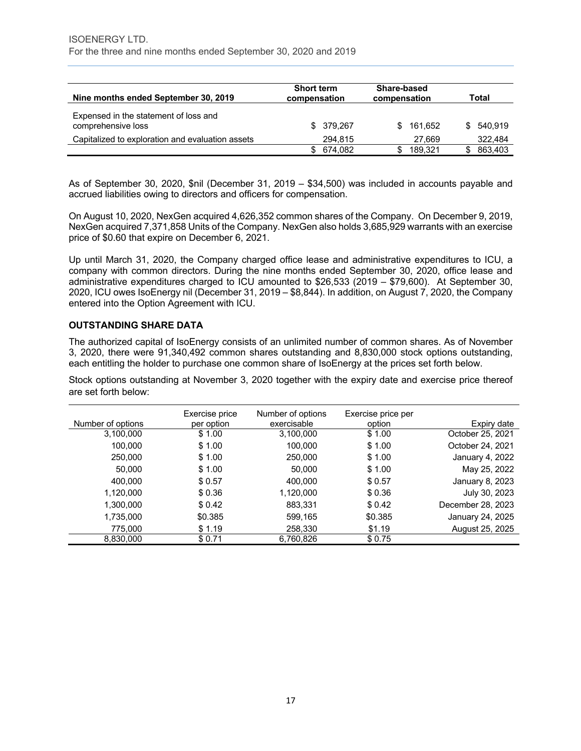| Nine months ended September 30, 2019                        | <b>Short term</b><br>compensation | Share-based<br>compensation | Total          |
|-------------------------------------------------------------|-----------------------------------|-----------------------------|----------------|
| Expensed in the statement of loss and<br>comprehensive loss | \$ 379,267                        | 161.652<br>\$.              | 540.919<br>SS. |
| Capitalized to exploration and evaluation assets            | 294,815                           | 27.669                      | 322,484        |
|                                                             | 674,082<br>SS.                    | 189.321                     | 863.403        |

As of September 30, 2020, \$nil (December 31, 2019 – \$34,500) was included in accounts payable and accrued liabilities owing to directors and officers for compensation.

On August 10, 2020, NexGen acquired 4,626,352 common shares of the Company. On December 9, 2019, NexGen acquired 7,371,858 Units of the Company. NexGen also holds 3,685,929 warrants with an exercise price of \$0.60 that expire on December 6, 2021.

Up until March 31, 2020, the Company charged office lease and administrative expenditures to ICU, a company with common directors. During the nine months ended September 30, 2020, office lease and administrative expenditures charged to ICU amounted to \$26,533 (2019 – \$79,600). At September 30, 2020, ICU owes IsoEnergy nil (December 31, 2019 – \$8,844). In addition, on August 7, 2020, the Company entered into the Option Agreement with ICU.

#### **OUTSTANDING SHARE DATA**

The authorized capital of IsoEnergy consists of an unlimited number of common shares. As of November 3, 2020, there were 91,340,492 common shares outstanding and 8,830,000 stock options outstanding, each entitling the holder to purchase one common share of IsoEnergy at the prices set forth below.

Stock options outstanding at November 3, 2020 together with the expiry date and exercise price thereof are set forth below:

|                   | Exercise price | Number of options | Exercise price per |                   |
|-------------------|----------------|-------------------|--------------------|-------------------|
| Number of options | per option     | exercisable       | option             | Expiry date       |
| 3,100,000         | \$1.00         | 3,100,000         | \$1.00             | October 25, 2021  |
| 100,000           | \$1.00         | 100,000           | \$1.00             | October 24, 2021  |
| 250,000           | \$1.00         | 250,000           | \$1.00             | January 4, 2022   |
| 50,000            | \$1.00         | 50,000            | \$1.00             | May 25, 2022      |
| 400,000           | \$0.57         | 400.000           | \$0.57             | January 8, 2023   |
| 1,120,000         | \$0.36         | 1,120,000         | \$0.36             | July 30, 2023     |
| 1,300,000         | \$ 0.42        | 883,331           | \$0.42             | December 28, 2023 |
| 1,735,000         | \$0.385        | 599,165           | \$0.385            | January 24, 2025  |
| 775,000           | \$1.19         | 258,330           | \$1.19             | August 25, 2025   |
| 8,830,000         | \$0.71         | 6,760,826         | \$0.75             |                   |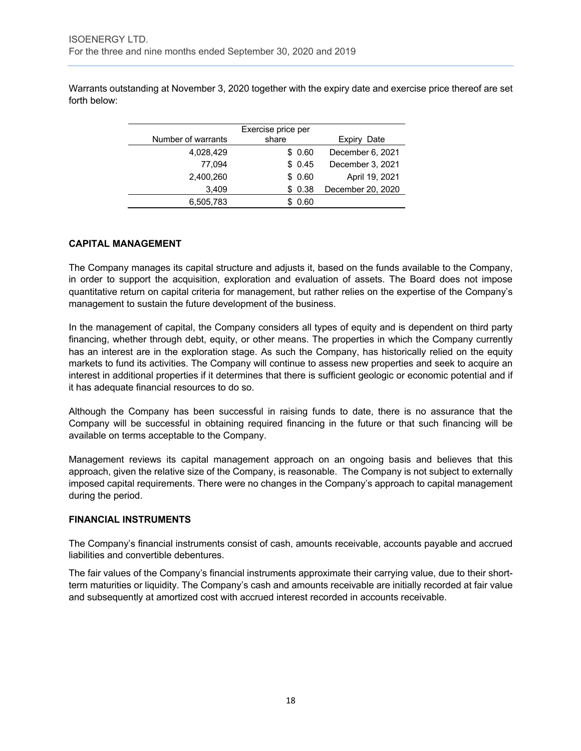Warrants outstanding at November 3, 2020 together with the expiry date and exercise price thereof are set forth below:

| Number of warrants | share  | Date<br>Expiry    |
|--------------------|--------|-------------------|
| 4,028,429          | \$0.60 | December 6, 2021  |
| 77.094             | \$0.45 | December 3, 2021  |
| 2,400,260          | \$0.60 | April 19, 2021    |
| 3,409              | \$0.38 | December 20, 2020 |
| 6,505,783          | 0.60   |                   |

#### **CAPITAL MANAGEMENT**

The Company manages its capital structure and adjusts it, based on the funds available to the Company, in order to support the acquisition, exploration and evaluation of assets. The Board does not impose quantitative return on capital criteria for management, but rather relies on the expertise of the Company's management to sustain the future development of the business.

In the management of capital, the Company considers all types of equity and is dependent on third party financing, whether through debt, equity, or other means. The properties in which the Company currently has an interest are in the exploration stage. As such the Company, has historically relied on the equity markets to fund its activities. The Company will continue to assess new properties and seek to acquire an interest in additional properties if it determines that there is sufficient geologic or economic potential and if it has adequate financial resources to do so.

Although the Company has been successful in raising funds to date, there is no assurance that the Company will be successful in obtaining required financing in the future or that such financing will be available on terms acceptable to the Company.

Management reviews its capital management approach on an ongoing basis and believes that this approach, given the relative size of the Company, is reasonable. The Company is not subject to externally imposed capital requirements. There were no changes in the Company's approach to capital management during the period.

#### **FINANCIAL INSTRUMENTS**

The Company's financial instruments consist of cash, amounts receivable, accounts payable and accrued liabilities and convertible debentures.

The fair values of the Company's financial instruments approximate their carrying value, due to their shortterm maturities or liquidity. The Company's cash and amounts receivable are initially recorded at fair value and subsequently at amortized cost with accrued interest recorded in accounts receivable.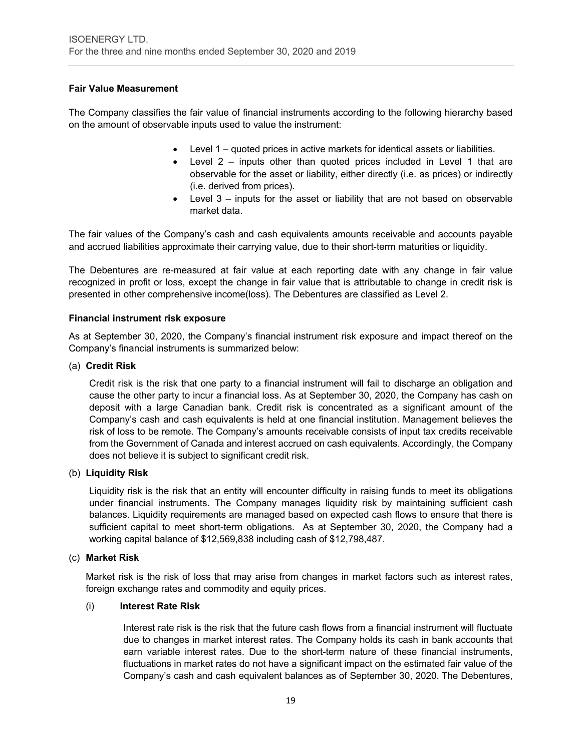# **Fair Value Measurement**

The Company classifies the fair value of financial instruments according to the following hierarchy based on the amount of observable inputs used to value the instrument:

- Level 1 quoted prices in active markets for identical assets or liabilities.
- Level 2 inputs other than quoted prices included in Level 1 that are observable for the asset or liability, either directly (i.e. as prices) or indirectly (i.e. derived from prices).
- Level 3 inputs for the asset or liability that are not based on observable market data.

The fair values of the Company's cash and cash equivalents amounts receivable and accounts payable and accrued liabilities approximate their carrying value, due to their short-term maturities or liquidity.

The Debentures are re-measured at fair value at each reporting date with any change in fair value recognized in profit or loss, except the change in fair value that is attributable to change in credit risk is presented in other comprehensive income(loss). The Debentures are classified as Level 2.

#### **Financial instrument risk exposure**

As at September 30, 2020, the Company's financial instrument risk exposure and impact thereof on the Company's financial instruments is summarized below:

#### (a) **Credit Risk**

Credit risk is the risk that one party to a financial instrument will fail to discharge an obligation and cause the other party to incur a financial loss. As at September 30, 2020, the Company has cash on deposit with a large Canadian bank. Credit risk is concentrated as a significant amount of the Company's cash and cash equivalents is held at one financial institution. Management believes the risk of loss to be remote. The Company's amounts receivable consists of input tax credits receivable from the Government of Canada and interest accrued on cash equivalents. Accordingly, the Company does not believe it is subject to significant credit risk.

#### (b) **Liquidity Risk**

Liquidity risk is the risk that an entity will encounter difficulty in raising funds to meet its obligations under financial instruments. The Company manages liquidity risk by maintaining sufficient cash balances. Liquidity requirements are managed based on expected cash flows to ensure that there is sufficient capital to meet short-term obligations. As at September 30, 2020, the Company had a working capital balance of \$12,569,838 including cash of \$12,798,487.

#### (c) **Market Risk**

Market risk is the risk of loss that may arise from changes in market factors such as interest rates, foreign exchange rates and commodity and equity prices.

#### (i) **Interest Rate Risk**

Interest rate risk is the risk that the future cash flows from a financial instrument will fluctuate due to changes in market interest rates. The Company holds its cash in bank accounts that earn variable interest rates. Due to the short-term nature of these financial instruments, fluctuations in market rates do not have a significant impact on the estimated fair value of the Company's cash and cash equivalent balances as of September 30, 2020. The Debentures,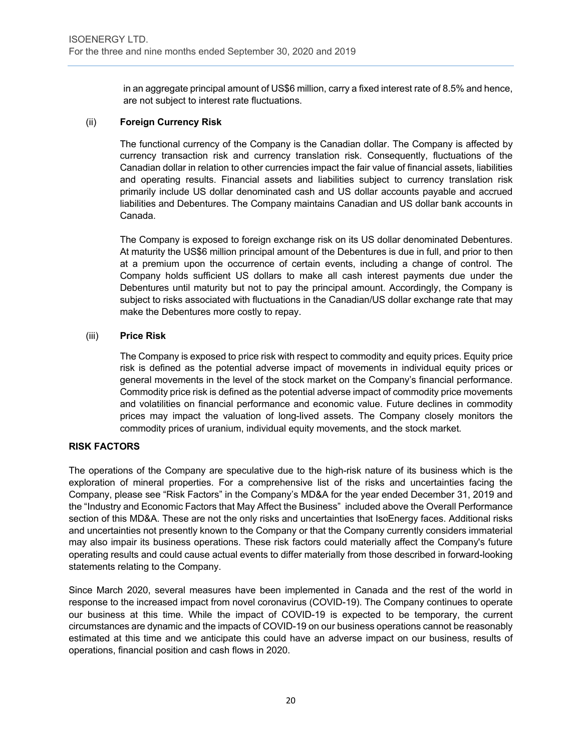in an aggregate principal amount of US\$6 million, carry a fixed interest rate of 8.5% and hence, are not subject to interest rate fluctuations.

# (ii) **Foreign Currency Risk**

The functional currency of the Company is the Canadian dollar. The Company is affected by currency transaction risk and currency translation risk. Consequently, fluctuations of the Canadian dollar in relation to other currencies impact the fair value of financial assets, liabilities and operating results. Financial assets and liabilities subject to currency translation risk primarily include US dollar denominated cash and US dollar accounts payable and accrued liabilities and Debentures. The Company maintains Canadian and US dollar bank accounts in Canada.

The Company is exposed to foreign exchange risk on its US dollar denominated Debentures. At maturity the US\$6 million principal amount of the Debentures is due in full, and prior to then at a premium upon the occurrence of certain events, including a change of control. The Company holds sufficient US dollars to make all cash interest payments due under the Debentures until maturity but not to pay the principal amount. Accordingly, the Company is subject to risks associated with fluctuations in the Canadian/US dollar exchange rate that may make the Debentures more costly to repay.

# (iii) **Price Risk**

The Company is exposed to price risk with respect to commodity and equity prices. Equity price risk is defined as the potential adverse impact of movements in individual equity prices or general movements in the level of the stock market on the Company's financial performance. Commodity price risk is defined as the potential adverse impact of commodity price movements and volatilities on financial performance and economic value. Future declines in commodity prices may impact the valuation of long-lived assets. The Company closely monitors the commodity prices of uranium, individual equity movements, and the stock market.

#### **RISK FACTORS**

The operations of the Company are speculative due to the high-risk nature of its business which is the exploration of mineral properties. For a comprehensive list of the risks and uncertainties facing the Company, please see "Risk Factors" in the Company's MD&A for the year ended December 31, 2019 and the "Industry and Economic Factors that May Affect the Business" included above the Overall Performance section of this MD&A. These are not the only risks and uncertainties that IsoEnergy faces. Additional risks and uncertainties not presently known to the Company or that the Company currently considers immaterial may also impair its business operations. These risk factors could materially affect the Company's future operating results and could cause actual events to differ materially from those described in forward-looking statements relating to the Company.

Since March 2020, several measures have been implemented in Canada and the rest of the world in response to the increased impact from novel coronavirus (COVID-19). The Company continues to operate our business at this time. While the impact of COVID-19 is expected to be temporary, the current circumstances are dynamic and the impacts of COVID-19 on our business operations cannot be reasonably estimated at this time and we anticipate this could have an adverse impact on our business, results of operations, financial position and cash flows in 2020.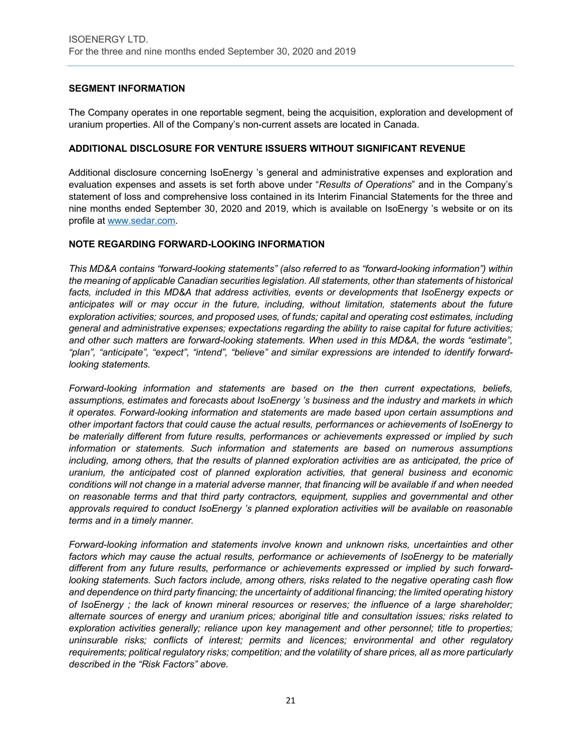# **SEGMENT INFORMATION**

The Company operates in one reportable segment, being the acquisition, exploration and development of uranium properties. All of the Company's non-current assets are located in Canada.

#### **ADDITIONAL DISCLOSURE FOR VENTURE ISSUERS WITHOUT SIGNIFICANT REVENUE**

Additional disclosure concerning IsoEnergy 's general and administrative expenses and exploration and evaluation expenses and assets is set forth above under "*Results of Operations*" and in the Company's statement of loss and comprehensive loss contained in its Interim Financial Statements for the three and nine months ended September 30, 2020 and 2019, which is available on IsoEnergy 's website or on its profile at www.sedar.com.

#### **NOTE REGARDING FORWARD-LOOKING INFORMATION**

*This MD&A contains "forward-looking statements" (also referred to as "forward-looking information") within the meaning of applicable Canadian securities legislation. All statements, other than statements of historical facts, included in this MD&A that address activities, events or developments that IsoEnergy expects or anticipates will or may occur in the future, including, without limitation, statements about the future exploration activities; sources, and proposed uses, of funds; capital and operating cost estimates, including general and administrative expenses; expectations regarding the ability to raise capital for future activities; and other such matters are forward-looking statements. When used in this MD&A, the words "estimate", "plan", "anticipate", "expect", "intend", "believe" and similar expressions are intended to identify forwardlooking statements.* 

*Forward-looking information and statements are based on the then current expectations, beliefs, assumptions, estimates and forecasts about IsoEnergy 's business and the industry and markets in which it operates. Forward-looking information and statements are made based upon certain assumptions and other important factors that could cause the actual results, performances or achievements of IsoEnergy to be materially different from future results, performances or achievements expressed or implied by such information or statements. Such information and statements are based on numerous assumptions including, among others, that the results of planned exploration activities are as anticipated, the price of uranium, the anticipated cost of planned exploration activities, that general business and economic conditions will not change in a material adverse manner, that financing will be available if and when needed on reasonable terms and that third party contractors, equipment, supplies and governmental and other approvals required to conduct IsoEnergy 's planned exploration activities will be available on reasonable terms and in a timely manner.* 

*Forward-looking information and statements involve known and unknown risks, uncertainties and other factors which may cause the actual results, performance or achievements of IsoEnergy to be materially different from any future results, performance or achievements expressed or implied by such forwardlooking statements. Such factors include, among others, risks related to the negative operating cash flow and dependence on third party financing; the uncertainty of additional financing; the limited operating history of IsoEnergy ; the lack of known mineral resources or reserves; the influence of a large shareholder; alternate sources of energy and uranium prices; aboriginal title and consultation issues; risks related to exploration activities generally; reliance upon key management and other personnel; title to properties; uninsurable risks; conflicts of interest; permits and licences; environmental and other regulatory requirements; political regulatory risks; competition; and the volatility of share prices, all as more particularly described in the "Risk Factors" above.*